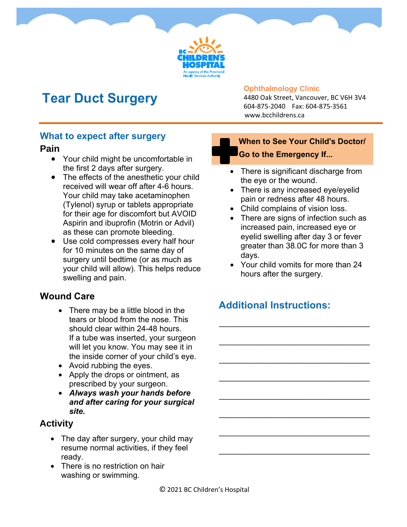

# **Tear Duct Surgery**

#### **Ophthalmology Clinic**

4480 Oak Street, Vancouver, BC V6H 3V4 604-875-2040 Fax: 604-875-3561 www.bcchildrens.ca

#### **What to expect after surgery**

#### **Pain**

- Your child might be uncomfortable in the first 2 days after surgery.
- The effects of the anesthetic your child received will wear off after 4-6 hours. Your child may take acetaminophen (Tylenol) syrup or tablets appropriate for their age for discomfort but AVOID Aspirin and ibuprofin (Motrin or Advil) as these can promote bleeding.
- Use cold compresses every half hour for 10 minutes on the same day of surgery until bedtime (or as much as your child will allow). This helps reduce swelling and pain.

## **Wound Care**

- There may be a little blood in the tears or blood from the nose. This should clear within 24-48 hours. If a tube was inserted, your surgeon will let you know. You may see it in the inside corner of your child's eye.
- Avoid rubbing the eyes.
- Apply the drops or ointment, as prescribed by your surgeon.
- *Always wash your hands before and after caring for your surgical site.*

#### **Activity**

- The day after surgery, your child may resume normal activities, if they feel ready.
- There is no restriction on hair washing or swimming.

### **When to See Your Child's Doctor/ Go to the Emergency If...**

- There is significant discharge from the eye or the wound.
- There is any increased eye/eyelid pain or redness after 48 hours.
- Child complains of vision loss.
- There are signs of infection such as increased pain, increased eye or eyelid swelling after day 3 or fever greater than 38.0C for more than 3 days.
- Your child vomits for more than 24 hours after the surgery.

\_\_\_\_\_\_\_\_\_\_\_\_\_\_\_\_\_\_\_\_\_\_\_\_\_\_\_\_\_\_\_\_\_\_

\_\_\_\_\_\_\_\_\_\_\_\_\_\_\_\_\_\_\_\_\_\_\_\_\_\_\_\_\_\_\_\_\_\_

\_\_\_\_\_\_\_\_\_\_\_\_\_\_\_\_\_\_\_\_\_\_\_\_\_\_\_\_\_\_\_\_\_\_

\_\_\_\_\_\_\_\_\_\_\_\_\_\_\_\_\_\_\_\_\_\_\_\_\_\_\_\_\_\_\_\_\_\_

\_\_\_\_\_\_\_\_\_\_\_\_\_\_\_\_\_\_\_\_\_\_\_\_\_\_\_\_\_\_\_\_\_\_

\_\_\_\_\_\_\_\_\_\_\_\_\_\_\_\_\_\_\_\_\_\_\_\_\_\_\_\_\_\_\_\_\_\_

\_\_\_\_\_\_\_\_\_\_\_\_\_\_\_\_\_\_\_\_\_\_\_\_\_\_\_\_\_\_\_\_\_\_

\_\_\_\_\_\_\_\_\_\_\_\_\_\_\_\_\_\_\_\_\_\_\_\_\_\_\_\_\_\_\_\_\_\_

## **Additional Instructions:**